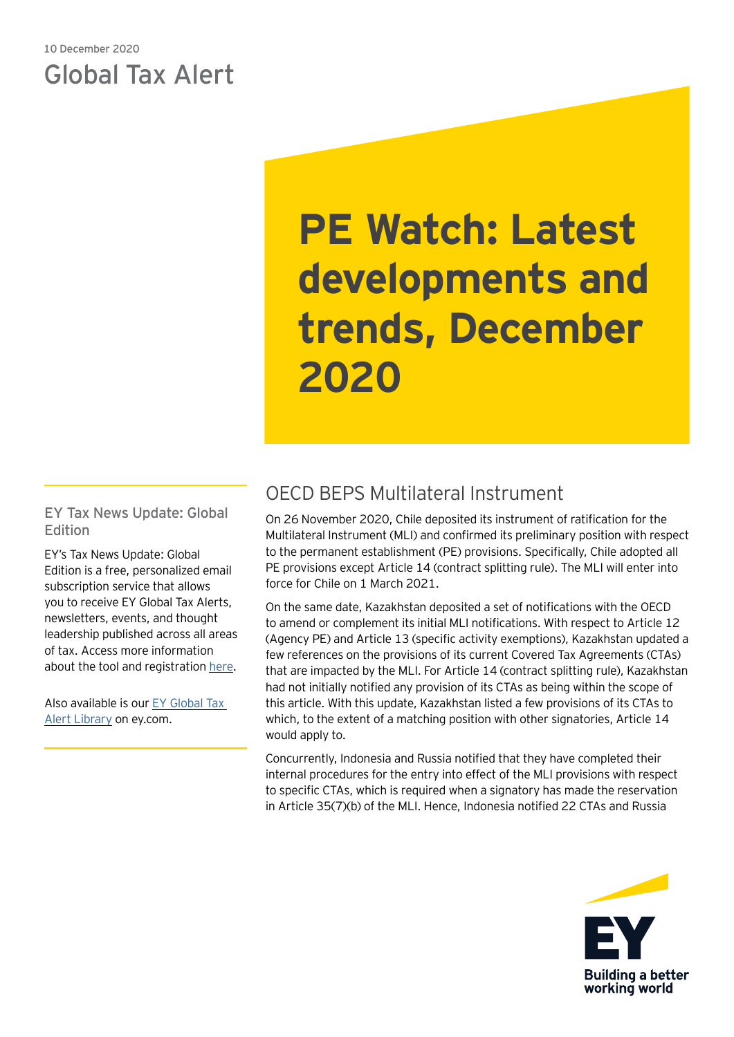## 10 December 2020 Global Tax Alert

# **PE Watch: Latest developments and trends, December 2020**

EY Tax News Update: Global Edition

EY's Tax News Update: Global Edition is a free, personalized email subscription service that allows you to receive EY Global Tax Alerts, newsletters, events, and thought leadership published across all areas of tax. Access more information about the tool and registration [here.](https://globaltaxnews.ey.com/Register/Register.aspx)

Also available is our [EY Global Tax](https://www.ey.com/en_gl/tax-alerts)  [Alert Library](https://www.ey.com/en_gl/tax-alerts) on ey.com.

# OECD BEPS Multilateral Instrument

On 26 November 2020, Chile deposited its instrument of ratification for the Multilateral Instrument (MLI) and confirmed its preliminary position with respect to the permanent establishment (PE) provisions. Specifically, Chile adopted all PE provisions except Article 14 (contract splitting rule). The MLI will enter into force for Chile on 1 March 2021.

On the same date, Kazakhstan deposited a set of notifications with the OECD to amend or complement its initial MLI notifications. With respect to Article 12 (Agency PE) and Article 13 (specific activity exemptions), Kazakhstan updated a few references on the provisions of its current Covered Tax Agreements (CTAs) that are impacted by the MLI. For Article 14 (contract splitting rule), Kazakhstan had not initially notified any provision of its CTAs as being within the scope of this article. With this update, Kazakhstan listed a few provisions of its CTAs to which, to the extent of a matching position with other signatories, Article 14 would apply to.

Concurrently, Indonesia and Russia notified that they have completed their internal procedures for the entry into effect of the MLI provisions with respect to specific CTAs, which is required when a signatory has made the reservation in Article 35(7)(b) of the MLI. Hence, Indonesia notified 22 CTAs and Russia

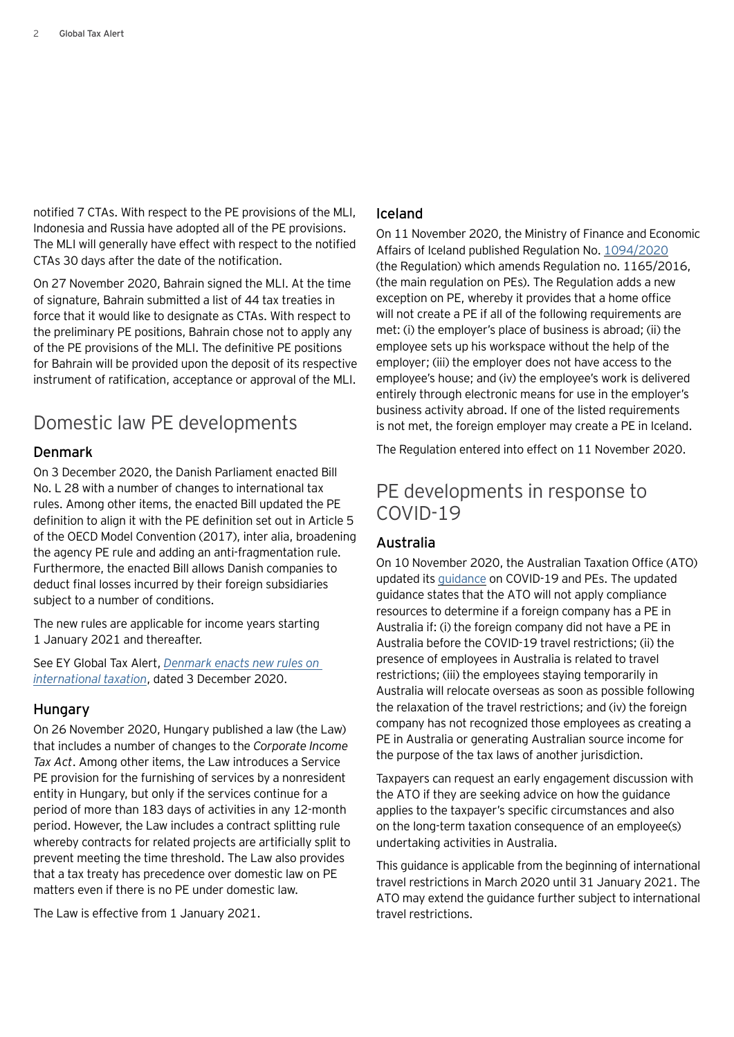notified 7 CTAs. With respect to the PE provisions of the MLI, Indonesia and Russia have adopted all of the PE provisions. The MLI will generally have effect with respect to the notified CTAs 30 days after the date of the notification.

On 27 November 2020, Bahrain signed the MLI. At the time of signature, Bahrain submitted a list of 44 tax treaties in force that it would like to designate as CTAs. With respect to the preliminary PE positions, Bahrain chose not to apply any of the PE provisions of the MLI. The definitive PE positions for Bahrain will be provided upon the deposit of its respective instrument of ratification, acceptance or approval of the MLI.

## Domestic law PE developments

## Denmark

On 3 December 2020, the Danish Parliament enacted Bill No. L 28 with a number of changes to international tax rules. Among other items, the enacted Bill updated the PE definition to align it with the PE definition set out in Article 5 of the OECD Model Convention (2017), inter alia, broadening the agency PE rule and adding an anti-fragmentation rule. Furthermore, the enacted Bill allows Danish companies to deduct final losses incurred by their foreign subsidiaries subject to a number of conditions.

The new rules are applicable for income years starting 1 January 2021 and thereafter.

See EY Global Tax Alert, *[Denmark enacts new rules on](https://globaltaxnews.ey.com/news/2020-6528-denmark-enacts-new-rules-on-international-taxation)  [international taxation](https://globaltaxnews.ey.com/news/2020-6528-denmark-enacts-new-rules-on-international-taxation)*, dated 3 December 2020.

### **Hungary**

On 26 November 2020, Hungary published a law (the Law) that includes a number of changes to the *Corporate Income Tax Act*. Among other items, the Law introduces a Service PE provision for the furnishing of services by a nonresident entity in Hungary, but only if the services continue for a period of more than 183 days of activities in any 12-month period. However, the Law includes a contract splitting rule whereby contracts for related projects are artificially split to prevent meeting the time threshold. The Law also provides that a tax treaty has precedence over domestic law on PE matters even if there is no PE under domestic law.

The Law is effective from 1 January 2021.

### Iceland

On 11 November 2020, the Ministry of Finance and Economic Affairs of Iceland published Regulation No. [1094/2020](https://www.reglugerd.is/reglugerdir/eftir-raduneytum/fjarmala--og-efnahagsraduneyti/nr/22165) (the Regulation) which amends Regulation no. 1165/2016, (the main regulation on PEs). The Regulation adds a new exception on PE, whereby it provides that a home office will not create a PE if all of the following requirements are met: (i) the employer's place of business is abroad; (ii) the employee sets up his workspace without the help of the employer; (iii) the employer does not have access to the employee's house; and (iv) the employee's work is delivered entirely through electronic means for use in the employer's business activity abroad. If one of the listed requirements is not met, the foreign employer may create a PE in Iceland.

The Regulation entered into effect on 11 November 2020.

## PE developments in response to COVID-19

### Australia

On 10 November 2020, the Australian Taxation Office (ATO) updated its [guidance](https://www.ato.gov.au/business/international-tax-for-business/working-out-your-residency/) on COVID-19 and PEs. The updated guidance states that the ATO will not apply compliance resources to determine if a foreign company has a PE in Australia if: (i) the foreign company did not have a PE in Australia before the COVID-19 travel restrictions; (ii) the presence of employees in Australia is related to travel restrictions; (iii) the employees staying temporarily in Australia will relocate overseas as soon as possible following the relaxation of the travel restrictions; and (iv) the foreign company has not recognized those employees as creating a PE in Australia or generating Australian source income for the purpose of the tax laws of another jurisdiction.

Taxpayers can request an early engagement discussion with the ATO if they are seeking advice on how the guidance applies to the taxpayer's specific circumstances and also on the long-term taxation consequence of an employee(s) undertaking activities in Australia.

This guidance is applicable from the beginning of international travel restrictions in March 2020 until 31 January 2021. The ATO may extend the guidance further subject to international travel restrictions.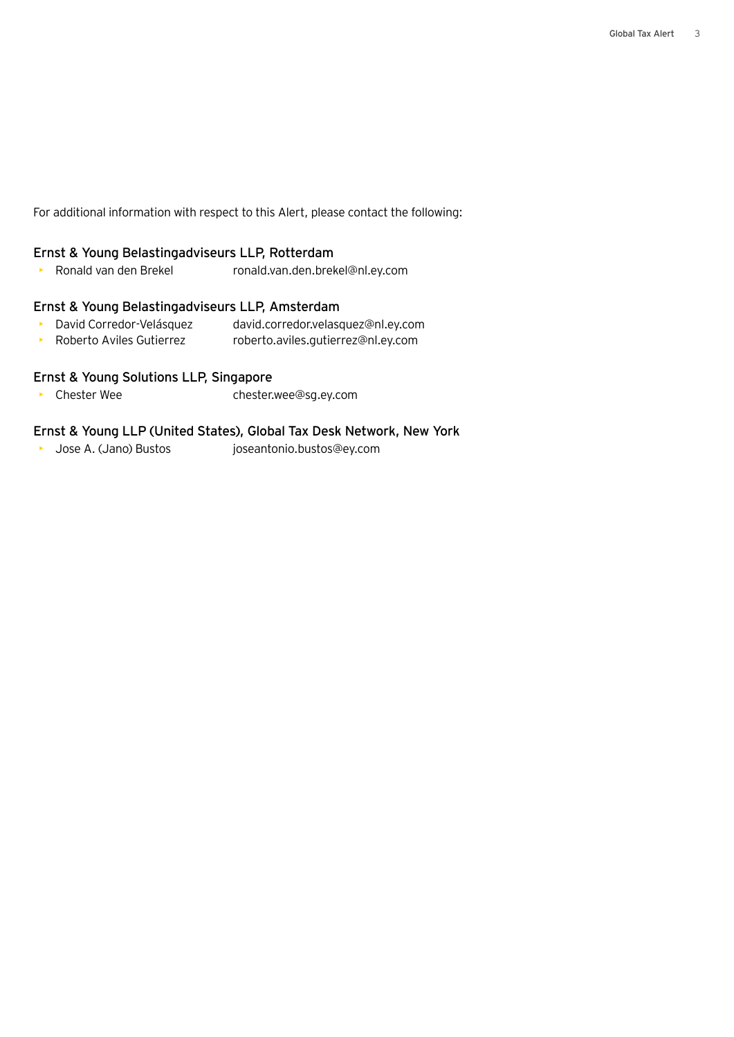For additional information with respect to this Alert, please contact the following:

#### Ernst & Young Belastingadviseurs LLP, Rotterdam

• Ronald van den Brekel ronald.van.den.brekel@nl.ey.com

#### Ernst & Young Belastingadviseurs LLP, Amsterdam

- David Corredor-Velásquez david.corredor.velasquez@nl.ey.com
- Roberto Aviles Gutierrez roberto.aviles.gutierrez@nl.ey.com

#### Ernst & Young Solutions LLP, Singapore

• Chester Wee chester.wee@sg.ey.com

#### Ernst & Young LLP (United States), Global Tax Desk Network, New York

• Jose A. (Jano) Bustos joseantonio.bustos@ey.com